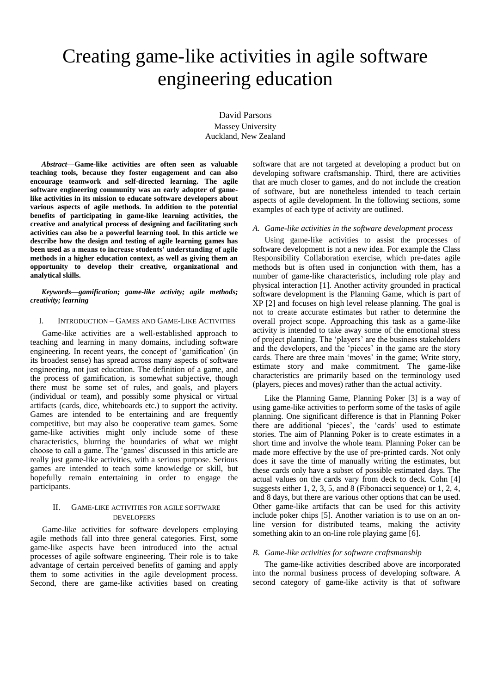# Creating game-like activities in agile software engineering education

David Parsons Massey University Auckland, New Zealand

*Abstract***—Game-like activities are often seen as valuable teaching tools, because they foster engagement and can also encourage teamwork and self-directed learning. The agile software engineering community was an early adopter of gamelike activities in its mission to educate software developers about various aspects of agile methods. In addition to the potential benefits of participating in game-like learning activities, the creative and analytical process of designing and facilitating such activities can also be a powerful learning tool. In this article we describe how the design and testing of agile learning games has been used as a means to increase students' understanding of agile methods in a higher education context, as well as giving them an opportunity to develop their creative, organizational and analytical skills.**

*Keywords—gamification; game-like activity; agile methods; creativity; learning* 

# I. INTRODUCTION – GAMES AND GAME-LIKE ACTIVITIES

Game-like activities are a well-established approach to teaching and learning in many domains, including software engineering. In recent years, the concept of 'gamification' (in its broadest sense) has spread across many aspects of software engineering, not just education. The definition of a game, and the process of gamification, is somewhat subjective, though there must be some set of rules, and goals, and players (individual or team), and possibly some physical or virtual artifacts (cards, dice, whiteboards etc.) to support the activity. Games are intended to be entertaining and are frequently competitive, but may also be cooperative team games. Some game-like activities might only include some of these characteristics, blurring the boundaries of what we might choose to call a game. The "games" discussed in this article are really just game-like activities, with a serious purpose. Serious games are intended to teach some knowledge or skill, but hopefully remain entertaining in order to engage the participants.

# II. GAME-LIKE ACTIVITIES FOR AGILE SOFTWARE DEVELOPERS

Game-like activities for software developers employing agile methods fall into three general categories. First, some game-like aspects have been introduced into the actual processes of agile software engineering. Their role is to take advantage of certain perceived benefits of gaming and apply them to some activities in the agile development process. Second, there are game-like activities based on creating software that are not targeted at developing a product but on developing software craftsmanship. Third, there are activities that are much closer to games, and do not include the creation of software, but are nonetheless intended to teach certain aspects of agile development. In the following sections, some examples of each type of activity are outlined.

# *A. Game-like activities in the software development process*

Using game-like activities to assist the processes of software development is not a new idea. For example the Class Responsibility Collaboration exercise, which pre-dates agile methods but is often used in conjunction with them, has a number of game-like characteristics, including role play and physical interaction [1]. Another activity grounded in practical software development is the Planning Game, which is part of XP [2] and focuses on high level release planning. The goal is not to create accurate estimates but rather to determine the overall project scope. Approaching this task as a game-like activity is intended to take away some of the emotional stress of project planning. The "players" are the business stakeholders and the developers, and the 'pieces' in the game are the story cards. There are three main 'moves' in the game; Write story, estimate story and make commitment. The game-like characteristics are primarily based on the terminology used (players, pieces and moves) rather than the actual activity.

Like the Planning Game, Planning Poker [3] is a way of using game-like activities to perform some of the tasks of agile planning. One significant difference is that in Planning Poker there are additional 'pieces', the 'cards' used to estimate stories. The aim of Planning Poker is to create estimates in a short time and involve the whole team. Planning Poker can be made more effective by the use of pre-printed cards. Not only does it save the time of manually writing the estimates, but these cards only have a subset of possible estimated days. The actual values on the cards vary from deck to deck. Cohn [4] suggests either 1, 2, 3, 5, and 8 (Fibonacci sequence) or 1, 2, 4, and 8 days, but there are various other options that can be used. Other game-like artifacts that can be used for this activity include poker chips [5]. Another variation is to use on an online version for distributed teams, making the activity something akin to an on-line role playing game [6].

#### *B. Game-like activities for software craftsmanship*

The game-like activities described above are incorporated into the normal business process of developing software. A second category of game-like activity is that of software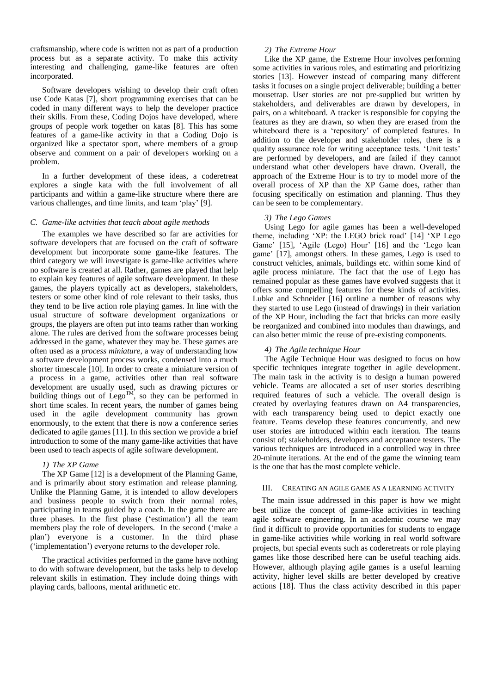craftsmanship, where code is written not as part of a production process but as a separate activity. To make this activity interesting and challenging, game-like features are often incorporated.

Software developers wishing to develop their craft often use Code Katas [7], short programming exercises that can be coded in many different ways to help the developer practice their skills. From these, Coding Dojos have developed, where groups of people work together on katas [8]. This has some features of a game-like activity in that a Coding Dojo is organized like a spectator sport, where members of a group observe and comment on a pair of developers working on a problem.

In a further development of these ideas, a coderetreat explores a single kata with the full involvement of all participants and within a game-like structure where there are various challenges, and time limits, and team "play" [9].

# *C. Game-like actvities that teach about agile methods*

The examples we have described so far are activities for software developers that are focused on the craft of software development but incorporate some game-like features. The third category we will investigate is game-like activities where no software is created at all. Rather, games are played that help to explain key features of agile software development. In these games, the players typically act as developers, stakeholders, testers or some other kind of role relevant to their tasks, thus they tend to be live action role playing games. In line with the usual structure of software development organizations or groups, the players are often put into teams rather than working alone. The rules are derived from the software processes being addressed in the game, whatever they may be. These games are often used as a *process miniature*, a way of understanding how a software development process works, condensed into a much shorter timescale [10]. In order to create a miniature version of a process in a game, activities other than real software development are usually used, such as drawing pictures or building things out of  $\text{Lego}^{\text{TM}}$ , so they can be performed in short time scales. In recent years, the number of games being used in the agile development community has grown enormously, to the extent that there is now a conference series dedicated to agile games [11]. In this section we provide a brief introduction to some of the many game-like activities that have been used to teach aspects of agile software development.

# *1) The XP Game*

The XP Game [12] is a development of the Planning Game, and is primarily about story estimation and release planning. Unlike the Planning Game, it is intended to allow developers and business people to switch from their normal roles, participating in teams guided by a coach. In the game there are three phases. In the first phase ("estimation") all the team members play the role of developers. In the second ("make a plan") everyone is a customer. In the third phase ("implementation") everyone returns to the developer role.

The practical activities performed in the game have nothing to do with software development, but the tasks help to develop relevant skills in estimation. They include doing things with playing cards, balloons, mental arithmetic etc.

### *2) The Extreme Hour*

Like the XP game, the Extreme Hour involves performing some activities in various roles, and estimating and prioritizing stories [13]. However instead of comparing many different tasks it focuses on a single project deliverable; building a better mousetrap. User stories are not pre-supplied but written by stakeholders, and deliverables are drawn by developers, in pairs, on a whiteboard. A tracker is responsible for copying the features as they are drawn, so when they are erased from the whiteboard there is a 'repository' of completed features. In addition to the developer and stakeholder roles, there is a quality assurance role for writing acceptance tests. 'Unit tests' are performed by developers, and are failed if they cannot understand what other developers have drawn. Overall, the approach of the Extreme Hour is to try to model more of the overall process of XP than the XP Game does, rather than focusing specifically on estimation and planning. Thus they can be seen to be complementary.

#### *3) The Lego Games*

Using Lego for agile games has been a well-developed theme, including 'XP: the LEGO brick road' [14] 'XP Lego Game' [15], 'Agile (Lego) Hour' [16] and the 'Lego lean game" [17], amongst others. In these games, Lego is used to construct vehicles, animals, buildings etc. within some kind of agile process miniature. The fact that the use of Lego has remained popular as these games have evolved suggests that it offers some compelling features for these kinds of activities. Lubke and Schneider [16] outline a number of reasons why they started to use Lego (instead of drawings) in their variation of the XP Hour, including the fact that bricks can more easily be reorganized and combined into modules than drawings, and can also better mimic the reuse of pre-existing components.

# *4) The Agile technique Hour*

The Agile Technique Hour was designed to focus on how specific techniques integrate together in agile development. The main task in the activity is to design a human powered vehicle. Teams are allocated a set of user stories describing required features of such a vehicle. The overall design is created by overlaying features drawn on A4 transparencies, with each transparency being used to depict exactly one feature. Teams develop these features concurrently, and new user stories are introduced within each iteration. The teams consist of; stakeholders, developers and acceptance testers. The various techniques are introduced in a controlled way in three 20-minute iterations. At the end of the game the winning team is the one that has the most complete vehicle.

### III. CREATING AN AGILE GAME AS A LEARNING ACTIVITY

The main issue addressed in this paper is how we might best utilize the concept of game-like activities in teaching agile software engineering. In an academic course we may find it difficult to provide opportunities for students to engage in game-like activities while working in real world software projects, but special events such as coderetreats or role playing games like those described here can be useful teaching aids. However, although playing agile games is a useful learning activity, higher level skills are better developed by creative actions [18]. Thus the class activity described in this paper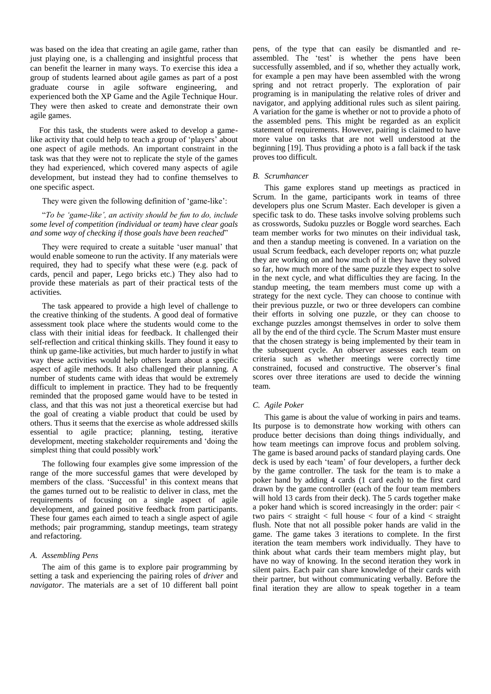was based on the idea that creating an agile game, rather than just playing one, is a challenging and insightful process that can benefit the learner in many ways. To exercise this idea a group of students learned about agile games as part of a post graduate course in agile software engineering, and experienced both the XP Game and the Agile Technique Hour. They were then asked to create and demonstrate their own agile games.

For this task, the students were asked to develop a gamelike activity that could help to teach a group of 'players' about one aspect of agile methods. An important constraint in the task was that they were not to replicate the style of the games they had experienced, which covered many aspects of agile development, but instead they had to confine themselves to one specific aspect.

### They were given the following definition of "game-like":

# "*To be 'game-like', an activity should be fun to do, include some level of competition (individual or team) have clear goals and some way of checking if those goals have been reached*"

They were required to create a suitable 'user manual' that would enable someone to run the activity. If any materials were required, they had to specify what these were (e.g. pack of cards, pencil and paper, Lego bricks etc.) They also had to provide these materials as part of their practical tests of the activities.

The task appeared to provide a high level of challenge to the creative thinking of the students. A good deal of formative assessment took place where the students would come to the class with their initial ideas for feedback. It challenged their self-reflection and critical thinking skills. They found it easy to think up game-like activities, but much harder to justify in what way these activities would help others learn about a specific aspect of agile methods. It also challenged their planning. A number of students came with ideas that would be extremely difficult to implement in practice. They had to be frequently reminded that the proposed game would have to be tested in class, and that this was not just a theoretical exercise but had the goal of creating a viable product that could be used by others. Thus it seems that the exercise as whole addressed skills essential to agile practice; planning, testing, iterative development, meeting stakeholder requirements and "doing the simplest thing that could possibly work'

The following four examples give some impression of the range of the more successful games that were developed by members of the class. "Successful" in this context means that the games turned out to be realistic to deliver in class, met the requirements of focusing on a single aspect of agile development, and gained positive feedback from participants. These four games each aimed to teach a single aspect of agile methods; pair programming, standup meetings, team strategy and refactoring.

### *A. Assembling Pens*

The aim of this game is to explore pair programming by setting a task and experiencing the pairing roles of *driver* and *navigator*. The materials are a set of 10 different ball point pens, of the type that can easily be dismantled and reassembled. The 'test' is whether the pens have been successfully assembled, and if so, whether they actually work, for example a pen may have been assembled with the wrong spring and not retract properly. The exploration of pair programing is in manipulating the relative roles of driver and navigator, and applying additional rules such as silent pairing. A variation for the game is whether or not to provide a photo of the assembled pens. This might be regarded as an explicit statement of requirements. However, pairing is claimed to have more value on tasks that are not well understood at the beginning [19]. Thus providing a photo is a fall back if the task proves too difficult.

## *B. Scrumhancer*

This game explores stand up meetings as practiced in Scrum. In the game, participants work in teams of three developers plus one Scrum Master. Each developer is given a specific task to do. These tasks involve solving problems such as crosswords, Sudoku puzzles or Boggle word searches. Each team member works for two minutes on their individual task, and then a standup meeting is convened. In a variation on the usual Scrum feedback, each developer reports on; what puzzle they are working on and how much of it they have they solved so far, how much more of the same puzzle they expect to solve in the next cycle, and what difficulties they are facing. In the standup meeting, the team members must come up with a strategy for the next cycle. They can choose to continue with their previous puzzle, or two or three developers can combine their efforts in solving one puzzle, or they can choose to exchange puzzles amongst themselves in order to solve them all by the end of the third cycle. The Scrum Master must ensure that the chosen strategy is being implemented by their team in the subsequent cycle. An observer assesses each team on criteria such as whether meetings were correctly time constrained, focused and constructive. The observer's final scores over three iterations are used to decide the winning team.

#### *C. Agile Poker*

This game is about the value of working in pairs and teams. Its purpose is to demonstrate how working with others can produce better decisions than doing things individually, and how team meetings can improve focus and problem solving. The game is based around packs of standard playing cards. One deck is used by each "team" of four developers, a further deck by the game controller. The task for the team is to make a poker hand by adding 4 cards (1 card each) to the first card drawn by the game controller (each of the four team members will hold 13 cards from their deck). The 5 cards together make a poker hand which is scored increasingly in the order: pair < two pairs  $\langle$  straight  $\langle$  full house  $\langle$  four of a kind  $\langle$  straight flush. Note that not all possible poker hands are valid in the game. The game takes 3 iterations to complete. In the first iteration the team members work individually. They have to think about what cards their team members might play, but have no way of knowing. In the second iteration they work in silent pairs. Each pair can share knowledge of their cards with their partner, but without communicating verbally. Before the final iteration they are allow to speak together in a team